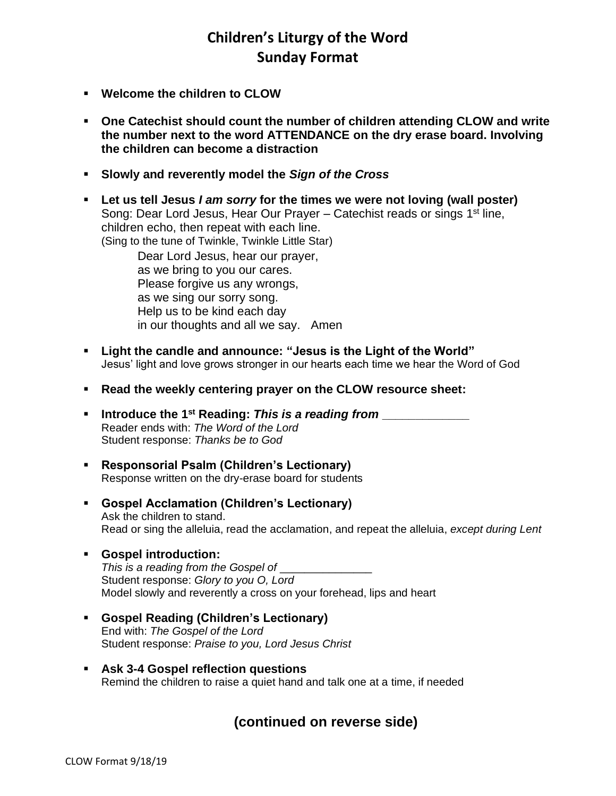# **Children's Liturgy of the Word Sunday Format**

- **Welcome the children to CLOW**
- **One Catechist should count the number of children attending CLOW and write the number next to the word ATTENDANCE on the dry erase board. Involving the children can become a distraction**
- **Slowly and reverently model the** *Sign of the Cross*
- **Let us tell Jesus** *I am sorry* **for the times we were not loving (wall poster)** Song: Dear Lord Jesus, Hear Our Prayer – Catechist reads or sings 1<sup>st</sup> line, children echo, then repeat with each line. (Sing to the tune of Twinkle, Twinkle Little Star)

Dear Lord Jesus, hear our prayer, as we bring to you our cares. Please forgive us any wrongs, as we sing our sorry song. Help us to be kind each day in our thoughts and all we say. Amen

- **Light the candle and announce: "Jesus is the Light of the World"** Jesus' light and love grows stronger in our hearts each time we hear the Word of God
- **Read the weekly centering prayer on the CLOW resource sheet:**
- **Introduce the 1st Reading:** *This is a reading from* **\_\_\_\_\_\_\_\_\_\_\_\_\_** Reader ends with: *The Word of the Lord* Student response: *Thanks be to God*
- **Responsorial Psalm (Children's Lectionary)** Response written on the dry-erase board for students
- **Gospel Acclamation (Children's Lectionary)** Ask the children to stand. Read or sing the alleluia, read the acclamation, and repeat the alleluia, *except during Lent*

### ▪ **Gospel introduction:**

*This is a reading from the Gospel of* \_\_\_\_\_\_\_\_\_\_\_\_\_\_\_ Student response: *Glory to you O, Lord* Model slowly and reverently a cross on your forehead, lips and heart

- **Gospel Reading (Children's Lectionary)** End with: *The Gospel of the Lord* Student response: *Praise to you, Lord Jesus Christ*
- **Ask 3-4 Gospel reflection questions** Remind the children to raise a quiet hand and talk one at a time, if needed

## **(continued on reverse side)**